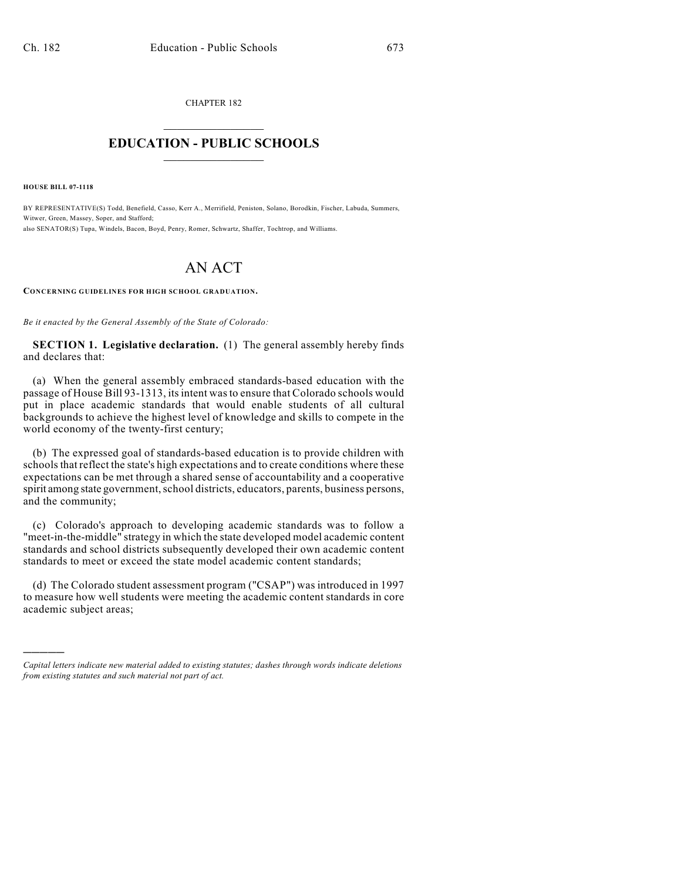CHAPTER 182  $\overline{\phantom{a}}$  . The set of the set of the set of the set of the set of the set of the set of the set of the set of the set of the set of the set of the set of the set of the set of the set of the set of the set of the set o

## **EDUCATION - PUBLIC SCHOOLS**  $\_$   $\_$   $\_$   $\_$   $\_$   $\_$   $\_$   $\_$   $\_$

**HOUSE BILL 07-1118**

)))))

BY REPRESENTATIVE(S) Todd, Benefield, Casso, Kerr A., Merrifield, Peniston, Solano, Borodkin, Fischer, Labuda, Summers, Witwer, Green, Massey, Soper, and Stafford; also SENATOR(S) Tupa, Windels, Bacon, Boyd, Penry, Romer, Schwartz, Shaffer, Tochtrop, and Williams.

## AN ACT

**CONCERNING GUIDELINES FOR HIGH SCHOOL GRADUATION.**

*Be it enacted by the General Assembly of the State of Colorado:*

**SECTION 1. Legislative declaration.** (1) The general assembly hereby finds and declares that:

(a) When the general assembly embraced standards-based education with the passage of House Bill 93-1313, its intent was to ensure that Colorado schools would put in place academic standards that would enable students of all cultural backgrounds to achieve the highest level of knowledge and skills to compete in the world economy of the twenty-first century;

(b) The expressed goal of standards-based education is to provide children with schools that reflect the state's high expectations and to create conditions where these expectations can be met through a shared sense of accountability and a cooperative spirit among state government, school districts, educators, parents, business persons, and the community;

(c) Colorado's approach to developing academic standards was to follow a "meet-in-the-middle" strategy in which the state developed model academic content standards and school districts subsequently developed their own academic content standards to meet or exceed the state model academic content standards;

(d) The Colorado student assessment program ("CSAP") was introduced in 1997 to measure how well students were meeting the academic content standards in core academic subject areas;

*Capital letters indicate new material added to existing statutes; dashes through words indicate deletions from existing statutes and such material not part of act.*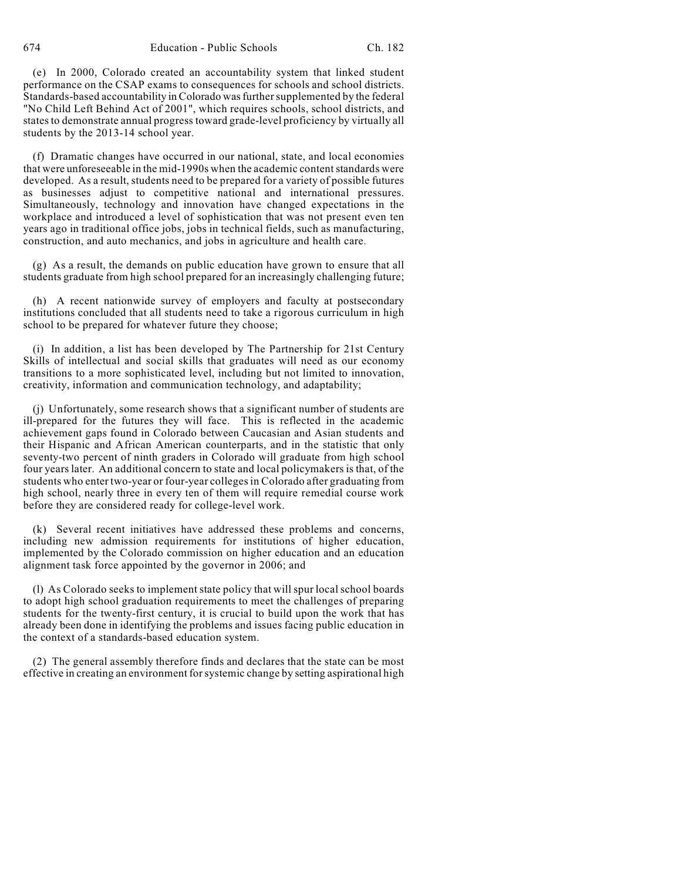(e) In 2000, Colorado created an accountability system that linked student performance on the CSAP exams to consequences for schools and school districts. Standards-based accountability in Colorado was further supplemented by the federal "No Child Left Behind Act of 2001", which requires schools, school districts, and states to demonstrate annual progress toward grade-level proficiency by virtually all students by the 2013-14 school year.

(f) Dramatic changes have occurred in our national, state, and local economies that were unforeseeable in the mid-1990s when the academic content standards were developed. As a result, students need to be prepared for a variety of possible futures as businesses adjust to competitive national and international pressures. Simultaneously, technology and innovation have changed expectations in the workplace and introduced a level of sophistication that was not present even ten years ago in traditional office jobs, jobs in technical fields, such as manufacturing, construction, and auto mechanics, and jobs in agriculture and health care.

(g) As a result, the demands on public education have grown to ensure that all students graduate from high school prepared for an increasingly challenging future;

(h) A recent nationwide survey of employers and faculty at postsecondary institutions concluded that all students need to take a rigorous curriculum in high school to be prepared for whatever future they choose;

(i) In addition, a list has been developed by The Partnership for 21st Century Skills of intellectual and social skills that graduates will need as our economy transitions to a more sophisticated level, including but not limited to innovation, creativity, information and communication technology, and adaptability;

(j) Unfortunately, some research shows that a significant number of students are ill-prepared for the futures they will face. This is reflected in the academic achievement gaps found in Colorado between Caucasian and Asian students and their Hispanic and African American counterparts, and in the statistic that only seventy-two percent of ninth graders in Colorado will graduate from high school four years later. An additional concern to state and local policymakers is that, of the students who enter two-year or four-year colleges in Colorado after graduating from high school, nearly three in every ten of them will require remedial course work before they are considered ready for college-level work.

(k) Several recent initiatives have addressed these problems and concerns, including new admission requirements for institutions of higher education, implemented by the Colorado commission on higher education and an education alignment task force appointed by the governor in 2006; and

(l) As Colorado seeks to implement state policy that willspur localschool boards to adopt high school graduation requirements to meet the challenges of preparing students for the twenty-first century, it is crucial to build upon the work that has already been done in identifying the problems and issues facing public education in the context of a standards-based education system.

(2) The general assembly therefore finds and declares that the state can be most effective in creating an environment for systemic change by setting aspirational high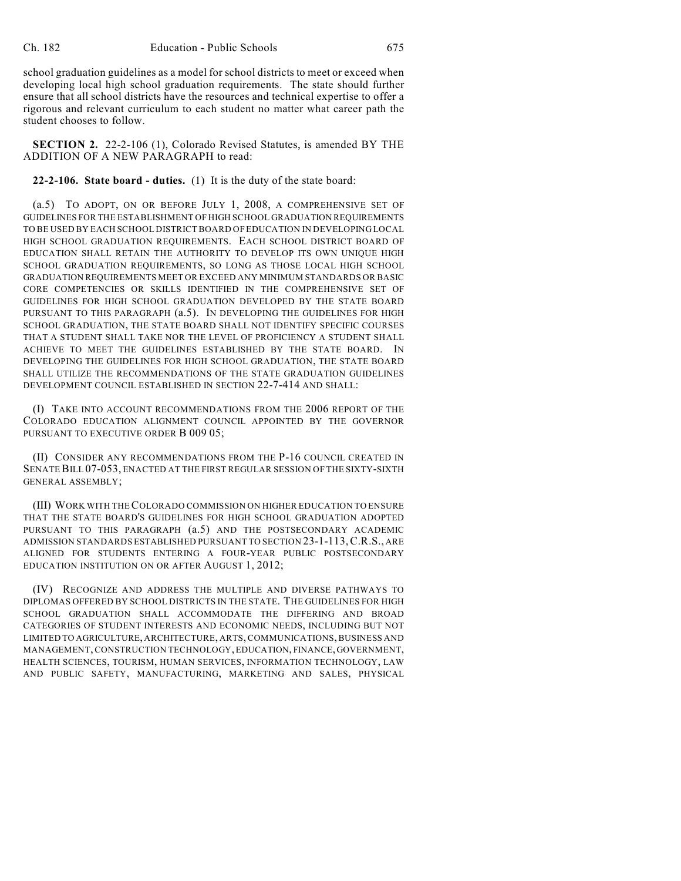school graduation guidelines as a model for school districts to meet or exceed when developing local high school graduation requirements. The state should further ensure that all school districts have the resources and technical expertise to offer a rigorous and relevant curriculum to each student no matter what career path the student chooses to follow.

**SECTION 2.** 22-2-106 (1), Colorado Revised Statutes, is amended BY THE ADDITION OF A NEW PARAGRAPH to read:

**22-2-106. State board - duties.** (1) It is the duty of the state board:

(a.5) TO ADOPT, ON OR BEFORE JULY 1, 2008, A COMPREHENSIVE SET OF GUIDELINES FOR THE ESTABLISHMENT OF HIGH SCHOOL GRADUATION REQUIREMENTS TO BE USED BY EACH SCHOOL DISTRICT BOARD OF EDUCATION IN DEVELOPING LOCAL HIGH SCHOOL GRADUATION REQUIREMENTS. EACH SCHOOL DISTRICT BOARD OF EDUCATION SHALL RETAIN THE AUTHORITY TO DEVELOP ITS OWN UNIQUE HIGH SCHOOL GRADUATION REQUIREMENTS, SO LONG AS THOSE LOCAL HIGH SCHOOL GRADUATION REQUIREMENTS MEET OR EXCEED ANY MINIMUM STANDARDS OR BASIC CORE COMPETENCIES OR SKILLS IDENTIFIED IN THE COMPREHENSIVE SET OF GUIDELINES FOR HIGH SCHOOL GRADUATION DEVELOPED BY THE STATE BOARD PURSUANT TO THIS PARAGRAPH (a.5). IN DEVELOPING THE GUIDELINES FOR HIGH SCHOOL GRADUATION, THE STATE BOARD SHALL NOT IDENTIFY SPECIFIC COURSES THAT A STUDENT SHALL TAKE NOR THE LEVEL OF PROFICIENCY A STUDENT SHALL ACHIEVE TO MEET THE GUIDELINES ESTABLISHED BY THE STATE BOARD. IN DEVELOPING THE GUIDELINES FOR HIGH SCHOOL GRADUATION, THE STATE BOARD SHALL UTILIZE THE RECOMMENDATIONS OF THE STATE GRADUATION GUIDELINES DEVELOPMENT COUNCIL ESTABLISHED IN SECTION 22-7-414 AND SHALL:

(I) TAKE INTO ACCOUNT RECOMMENDATIONS FROM THE 2006 REPORT OF THE COLORADO EDUCATION ALIGNMENT COUNCIL APPOINTED BY THE GOVERNOR PURSUANT TO EXECUTIVE ORDER B 009 05;

(II) CONSIDER ANY RECOMMENDATIONS FROM THE P-16 COUNCIL CREATED IN SENATE BILL 07-053, ENACTED AT THE FIRST REGULAR SESSION OF THE SIXTY-SIXTH GENERAL ASSEMBLY;

(III) WORK WITH THE COLORADO COMMISSION ON HIGHER EDUCATION TO ENSURE THAT THE STATE BOARD'S GUIDELINES FOR HIGH SCHOOL GRADUATION ADOPTED PURSUANT TO THIS PARAGRAPH (a.5) AND THE POSTSECONDARY ACADEMIC ADMISSION STANDARDS ESTABLISHED PURSUANT TO SECTION 23-1-113,C.R.S., ARE ALIGNED FOR STUDENTS ENTERING A FOUR-YEAR PUBLIC POSTSECONDARY EDUCATION INSTITUTION ON OR AFTER AUGUST 1, 2012;

(IV) RECOGNIZE AND ADDRESS THE MULTIPLE AND DIVERSE PATHWAYS TO DIPLOMAS OFFERED BY SCHOOL DISTRICTS IN THE STATE. THE GUIDELINES FOR HIGH SCHOOL GRADUATION SHALL ACCOMMODATE THE DIFFERING AND BROAD CATEGORIES OF STUDENT INTERESTS AND ECONOMIC NEEDS, INCLUDING BUT NOT LIMITED TO AGRICULTURE, ARCHITECTURE, ARTS, COMMUNICATIONS, BUSINESS AND MANAGEMENT, CONSTRUCTION TECHNOLOGY, EDUCATION, FINANCE, GOVERNMENT, HEALTH SCIENCES, TOURISM, HUMAN SERVICES, INFORMATION TECHNOLOGY, LAW AND PUBLIC SAFETY, MANUFACTURING, MARKETING AND SALES, PHYSICAL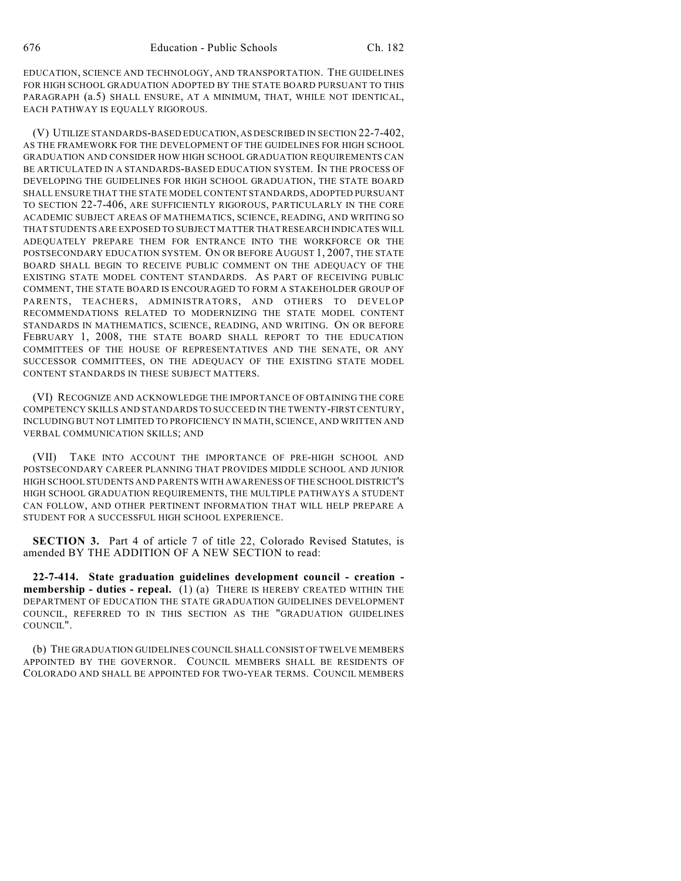EDUCATION, SCIENCE AND TECHNOLOGY, AND TRANSPORTATION. THE GUIDELINES FOR HIGH SCHOOL GRADUATION ADOPTED BY THE STATE BOARD PURSUANT TO THIS PARAGRAPH (a.5) SHALL ENSURE, AT A MINIMUM, THAT, WHILE NOT IDENTICAL, EACH PATHWAY IS EQUALLY RIGOROUS.

(V) UTILIZE STANDARDS-BASED EDUCATION, AS DESCRIBED IN SECTION 22-7-402, AS THE FRAMEWORK FOR THE DEVELOPMENT OF THE GUIDELINES FOR HIGH SCHOOL GRADUATION AND CONSIDER HOW HIGH SCHOOL GRADUATION REQUIREMENTS CAN BE ARTICULATED IN A STANDARDS-BASED EDUCATION SYSTEM. IN THE PROCESS OF DEVELOPING THE GUIDELINES FOR HIGH SCHOOL GRADUATION, THE STATE BOARD SHALL ENSURE THAT THE STATE MODEL CONTENT STANDARDS, ADOPTED PURSUANT TO SECTION 22-7-406, ARE SUFFICIENTLY RIGOROUS, PARTICULARLY IN THE CORE ACADEMIC SUBJECT AREAS OF MATHEMATICS, SCIENCE, READING, AND WRITING SO THAT STUDENTS ARE EXPOSED TO SUBJECT MATTER THAT RESEARCH INDICATES WILL ADEQUATELY PREPARE THEM FOR ENTRANCE INTO THE WORKFORCE OR THE POSTSECONDARY EDUCATION SYSTEM. ON OR BEFORE AUGUST 1, 2007, THE STATE BOARD SHALL BEGIN TO RECEIVE PUBLIC COMMENT ON THE ADEQUACY OF THE EXISTING STATE MODEL CONTENT STANDARDS. AS PART OF RECEIVING PUBLIC COMMENT, THE STATE BOARD IS ENCOURAGED TO FORM A STAKEHOLDER GROUP OF PARENTS, TEACHERS, ADMINISTRATORS, AND OTHERS TO DEVELOP RECOMMENDATIONS RELATED TO MODERNIZING THE STATE MODEL CONTENT STANDARDS IN MATHEMATICS, SCIENCE, READING, AND WRITING. ON OR BEFORE FEBRUARY 1, 2008, THE STATE BOARD SHALL REPORT TO THE EDUCATION COMMITTEES OF THE HOUSE OF REPRESENTATIVES AND THE SENATE, OR ANY SUCCESSOR COMMITTEES, ON THE ADEQUACY OF THE EXISTING STATE MODEL CONTENT STANDARDS IN THESE SUBJECT MATTERS.

(VI) RECOGNIZE AND ACKNOWLEDGE THE IMPORTANCE OF OBTAINING THE CORE COMPETENCY SKILLS AND STANDARDS TO SUCCEED IN THE TWENTY-FIRST CENTURY, INCLUDING BUT NOT LIMITED TO PROFICIENCY IN MATH, SCIENCE, AND WRITTEN AND VERBAL COMMUNICATION SKILLS; AND

(VII) TAKE INTO ACCOUNT THE IMPORTANCE OF PRE-HIGH SCHOOL AND POSTSECONDARY CAREER PLANNING THAT PROVIDES MIDDLE SCHOOL AND JUNIOR HIGH SCHOOL STUDENTS AND PARENTS WITH AWARENESS OF THE SCHOOL DISTRICT'S HIGH SCHOOL GRADUATION REQUIREMENTS, THE MULTIPLE PATHWAYS A STUDENT CAN FOLLOW, AND OTHER PERTINENT INFORMATION THAT WILL HELP PREPARE A STUDENT FOR A SUCCESSFUL HIGH SCHOOL EXPERIENCE.

**SECTION 3.** Part 4 of article 7 of title 22, Colorado Revised Statutes, is amended BY THE ADDITION OF A NEW SECTION to read:

**22-7-414. State graduation guidelines development council - creation membership - duties - repeal.** (1) (a) THERE IS HEREBY CREATED WITHIN THE DEPARTMENT OF EDUCATION THE STATE GRADUATION GUIDELINES DEVELOPMENT COUNCIL, REFERRED TO IN THIS SECTION AS THE "GRADUATION GUIDELINES COUNCIL".

(b) THE GRADUATION GUIDELINES COUNCIL SHALL CONSIST OFTWELVE MEMBERS APPOINTED BY THE GOVERNOR. COUNCIL MEMBERS SHALL BE RESIDENTS OF COLORADO AND SHALL BE APPOINTED FOR TWO-YEAR TERMS. COUNCIL MEMBERS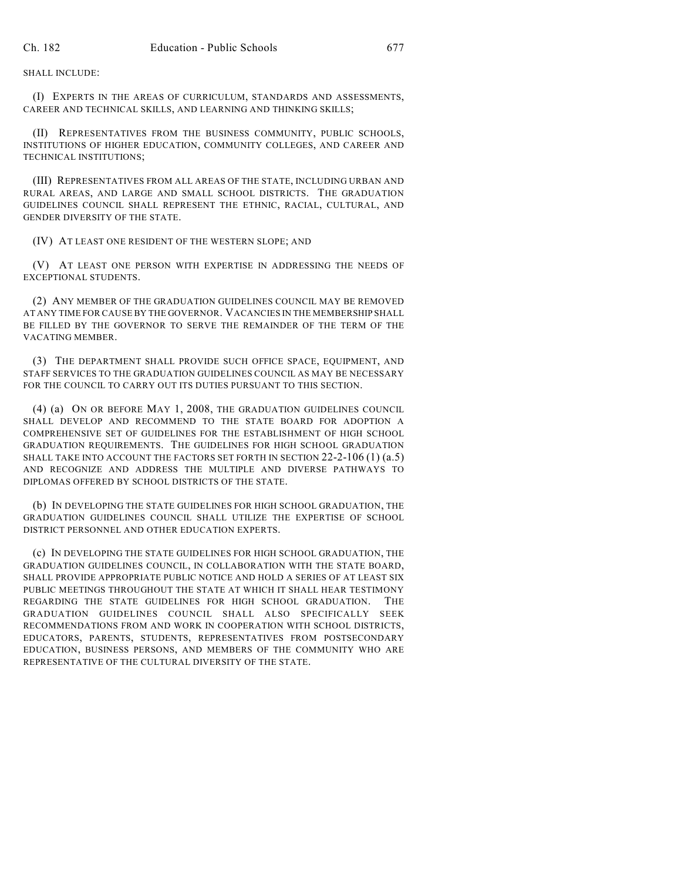SHALL INCLUDE:

(I) EXPERTS IN THE AREAS OF CURRICULUM, STANDARDS AND ASSESSMENTS, CAREER AND TECHNICAL SKILLS, AND LEARNING AND THINKING SKILLS;

(II) REPRESENTATIVES FROM THE BUSINESS COMMUNITY, PUBLIC SCHOOLS, INSTITUTIONS OF HIGHER EDUCATION, COMMUNITY COLLEGES, AND CAREER AND TECHNICAL INSTITUTIONS;

(III) REPRESENTATIVES FROM ALL AREAS OF THE STATE, INCLUDING URBAN AND RURAL AREAS, AND LARGE AND SMALL SCHOOL DISTRICTS. THE GRADUATION GUIDELINES COUNCIL SHALL REPRESENT THE ETHNIC, RACIAL, CULTURAL, AND GENDER DIVERSITY OF THE STATE.

(IV) AT LEAST ONE RESIDENT OF THE WESTERN SLOPE; AND

(V) AT LEAST ONE PERSON WITH EXPERTISE IN ADDRESSING THE NEEDS OF EXCEPTIONAL STUDENTS.

(2) ANY MEMBER OF THE GRADUATION GUIDELINES COUNCIL MAY BE REMOVED AT ANY TIME FOR CAUSE BY THE GOVERNOR. VACANCIES IN THE MEMBERSHIP SHALL BE FILLED BY THE GOVERNOR TO SERVE THE REMAINDER OF THE TERM OF THE VACATING MEMBER.

(3) THE DEPARTMENT SHALL PROVIDE SUCH OFFICE SPACE, EQUIPMENT, AND STAFF SERVICES TO THE GRADUATION GUIDELINES COUNCIL AS MAY BE NECESSARY FOR THE COUNCIL TO CARRY OUT ITS DUTIES PURSUANT TO THIS SECTION.

(4) (a) ON OR BEFORE MAY 1, 2008, THE GRADUATION GUIDELINES COUNCIL SHALL DEVELOP AND RECOMMEND TO THE STATE BOARD FOR ADOPTION A COMPREHENSIVE SET OF GUIDELINES FOR THE ESTABLISHMENT OF HIGH SCHOOL GRADUATION REQUIREMENTS. THE GUIDELINES FOR HIGH SCHOOL GRADUATION SHALL TAKE INTO ACCOUNT THE FACTORS SET FORTH IN SECTION  $22-2-106(1)(a.5)$ AND RECOGNIZE AND ADDRESS THE MULTIPLE AND DIVERSE PATHWAYS TO DIPLOMAS OFFERED BY SCHOOL DISTRICTS OF THE STATE.

(b) IN DEVELOPING THE STATE GUIDELINES FOR HIGH SCHOOL GRADUATION, THE GRADUATION GUIDELINES COUNCIL SHALL UTILIZE THE EXPERTISE OF SCHOOL DISTRICT PERSONNEL AND OTHER EDUCATION EXPERTS.

(c) IN DEVELOPING THE STATE GUIDELINES FOR HIGH SCHOOL GRADUATION, THE GRADUATION GUIDELINES COUNCIL, IN COLLABORATION WITH THE STATE BOARD, SHALL PROVIDE APPROPRIATE PUBLIC NOTICE AND HOLD A SERIES OF AT LEAST SIX PUBLIC MEETINGS THROUGHOUT THE STATE AT WHICH IT SHALL HEAR TESTIMONY REGARDING THE STATE GUIDELINES FOR HIGH SCHOOL GRADUATION. THE GRADUATION GUIDELINES COUNCIL SHALL ALSO SPECIFICALLY SEEK RECOMMENDATIONS FROM AND WORK IN COOPERATION WITH SCHOOL DISTRICTS, EDUCATORS, PARENTS, STUDENTS, REPRESENTATIVES FROM POSTSECONDARY EDUCATION, BUSINESS PERSONS, AND MEMBERS OF THE COMMUNITY WHO ARE REPRESENTATIVE OF THE CULTURAL DIVERSITY OF THE STATE.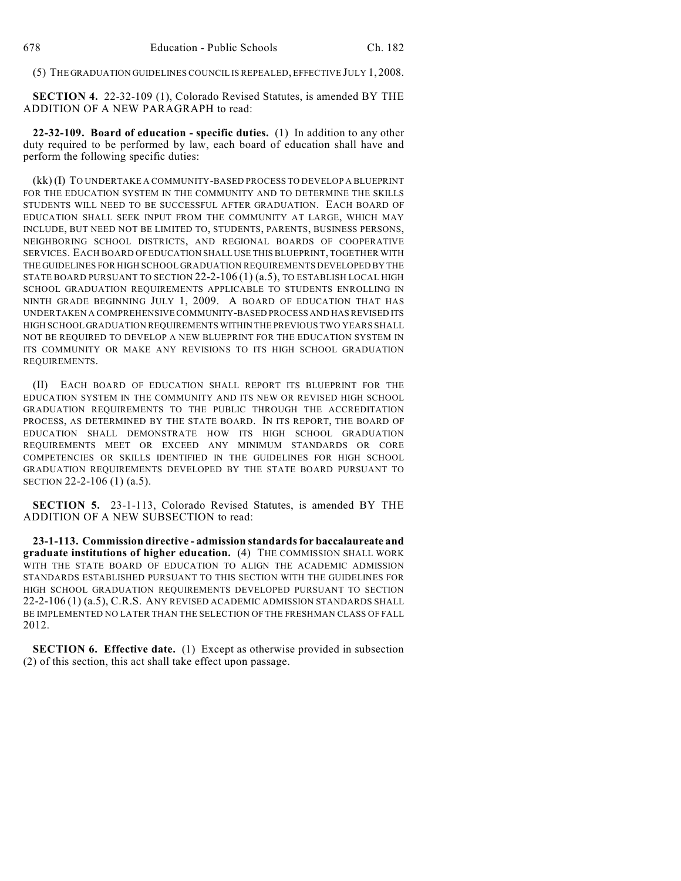(5) THE GRADUATION GUIDELINES COUNCIL IS REPEALED, EFFECTIVE JULY 1, 2008.

**SECTION 4.** 22-32-109 (1), Colorado Revised Statutes, is amended BY THE ADDITION OF A NEW PARAGRAPH to read:

**22-32-109. Board of education - specific duties.** (1) In addition to any other duty required to be performed by law, each board of education shall have and perform the following specific duties:

(kk) (I) TO UNDERTAKE A COMMUNITY-BASED PROCESS TO DEVELOP A BLUEPRINT FOR THE EDUCATION SYSTEM IN THE COMMUNITY AND TO DETERMINE THE SKILLS STUDENTS WILL NEED TO BE SUCCESSFUL AFTER GRADUATION. EACH BOARD OF EDUCATION SHALL SEEK INPUT FROM THE COMMUNITY AT LARGE, WHICH MAY INCLUDE, BUT NEED NOT BE LIMITED TO, STUDENTS, PARENTS, BUSINESS PERSONS, NEIGHBORING SCHOOL DISTRICTS, AND REGIONAL BOARDS OF COOPERATIVE SERVICES. EACH BOARD OF EDUCATION SHALL USE THIS BLUEPRINT, TOGETHER WITH THE GUIDELINES FOR HIGH SCHOOL GRADUATION REQUIREMENTS DEVELOPED BY THE STATE BOARD PURSUANT TO SECTION 22-2-106 (1) (a.5), TO ESTABLISH LOCAL HIGH SCHOOL GRADUATION REQUIREMENTS APPLICABLE TO STUDENTS ENROLLING IN NINTH GRADE BEGINNING JULY 1, 2009. A BOARD OF EDUCATION THAT HAS UNDERTAKEN A COMPREHENSIVE COMMUNITY-BASED PROCESS AND HAS REVISED ITS HIGH SCHOOL GRADUATION REQUIREMENTS WITHIN THE PREVIOUS TWO YEARS SHALL NOT BE REQUIRED TO DEVELOP A NEW BLUEPRINT FOR THE EDUCATION SYSTEM IN ITS COMMUNITY OR MAKE ANY REVISIONS TO ITS HIGH SCHOOL GRADUATION REQUIREMENTS.

(II) EACH BOARD OF EDUCATION SHALL REPORT ITS BLUEPRINT FOR THE EDUCATION SYSTEM IN THE COMMUNITY AND ITS NEW OR REVISED HIGH SCHOOL GRADUATION REQUIREMENTS TO THE PUBLIC THROUGH THE ACCREDITATION PROCESS, AS DETERMINED BY THE STATE BOARD. IN ITS REPORT, THE BOARD OF EDUCATION SHALL DEMONSTRATE HOW ITS HIGH SCHOOL GRADUATION REQUIREMENTS MEET OR EXCEED ANY MINIMUM STANDARDS OR CORE COMPETENCIES OR SKILLS IDENTIFIED IN THE GUIDELINES FOR HIGH SCHOOL GRADUATION REQUIREMENTS DEVELOPED BY THE STATE BOARD PURSUANT TO SECTION 22-2-106 (1) (a.5).

**SECTION 5.** 23-1-113, Colorado Revised Statutes, is amended BY THE ADDITION OF A NEW SUBSECTION to read:

**23-1-113. Commission directive - admission standards for baccalaureate and graduate institutions of higher education.** (4) THE COMMISSION SHALL WORK WITH THE STATE BOARD OF EDUCATION TO ALIGN THE ACADEMIC ADMISSION STANDARDS ESTABLISHED PURSUANT TO THIS SECTION WITH THE GUIDELINES FOR HIGH SCHOOL GRADUATION REQUIREMENTS DEVELOPED PURSUANT TO SECTION 22-2-106 (1) (a.5), C.R.S. ANY REVISED ACADEMIC ADMISSION STANDARDS SHALL BE IMPLEMENTED NO LATER THAN THE SELECTION OF THE FRESHMAN CLASS OF FALL 2012.

**SECTION 6. Effective date.** (1) Except as otherwise provided in subsection (2) of this section, this act shall take effect upon passage.